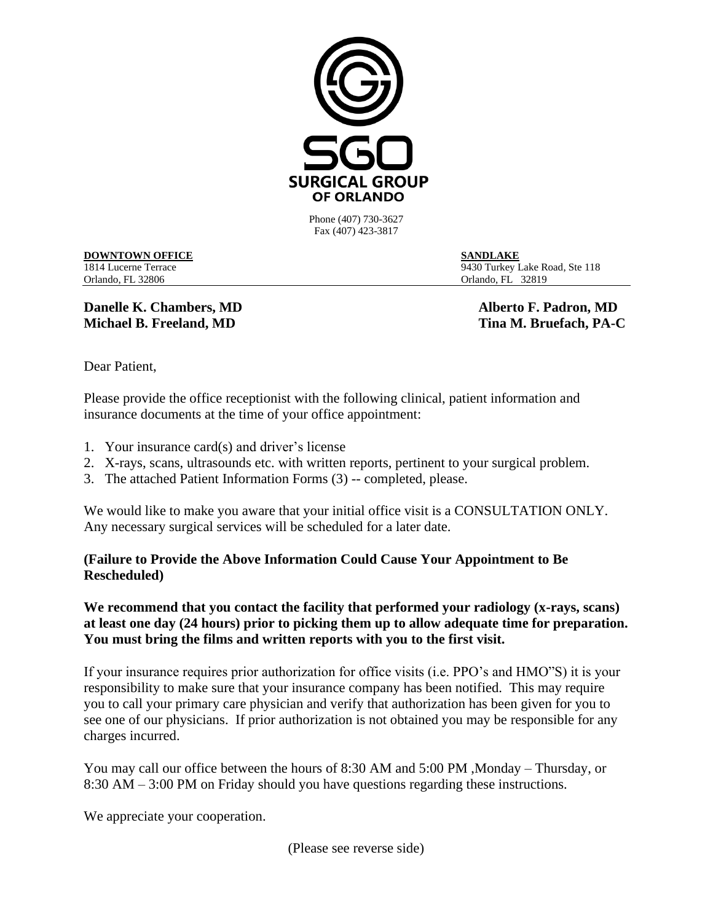

Phone (407) 730-3627 Fax (407) 423-3817

## **DOWNTOWN OFFICE SANDLAKE**

1814 Lucerne Terrace 9430 Turkey Lake Road, Ste 118 Orlando, FL 32806 Orlando, FL 32819

**Danelle K. Chambers, MD** Alberto F. Padron, MD **Michael B. Freeland, MD** Tina M. Bruefach, PA-C

Dear Patient,

Please provide the office receptionist with the following clinical, patient information and insurance documents at the time of your office appointment:

- 1. Your insurance card(s) and driver's license
- 2. X-rays, scans, ultrasounds etc. with written reports, pertinent to your surgical problem.
- 3. The attached Patient Information Forms (3) -- completed, please.

We would like to make you aware that your initial office visit is a CONSULTATION ONLY. Any necessary surgical services will be scheduled for a later date.

## **(Failure to Provide the Above Information Could Cause Your Appointment to Be Rescheduled)**

## We recommend that you contact the facility that performed your radiology (x-rays, scans) **at least one day (24 hours) prior to picking them up to allow adequate time for preparation. You must bring the films and written reports with you to the first visit.**

If your insurance requires prior authorization for office visits (i.e. PPO's and HMO"S) it is your responsibility to make sure that your insurance company has been notified. This may require you to call your primary care physician and verify that authorization has been given for you to see one of our physicians. If prior authorization is not obtained you may be responsible for any charges incurred.

You may call our office between the hours of 8:30 AM and 5:00 PM ,Monday – Thursday, or 8:30 AM – 3:00 PM on Friday should you have questions regarding these instructions.

We appreciate your cooperation.

(Please see reverse side)